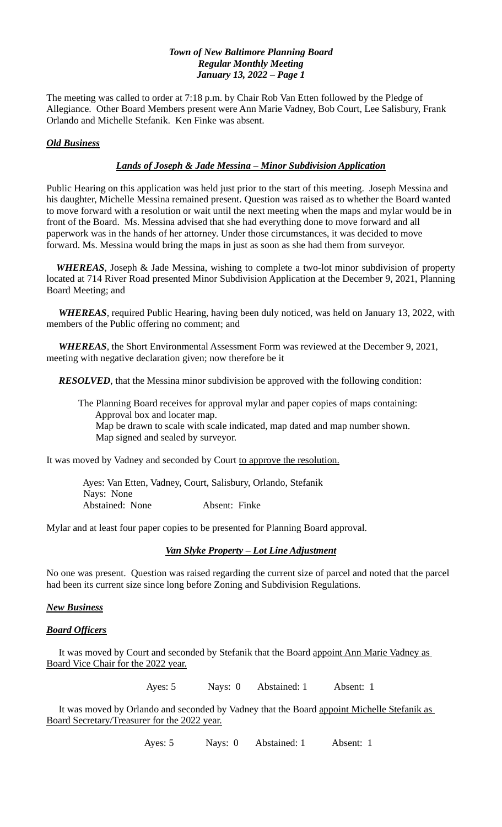The meeting was called to order at 7:18 p.m. by Chair Rob Van Etten followed by the Pledge of Allegiance. Other Board Members present were Ann Marie Vadney, Bob Court, Lee Salisbury, Frank Orlando and Michelle Stefanik. Ken Finke was absent.

# *Old Business*

# *Lands of Joseph & Jade Messina – Minor Subdivision Application*

Public Hearing on this application was held just prior to the start of this meeting. Joseph Messina and his daughter, Michelle Messina remained present. Question was raised as to whether the Board wanted to move forward with a resolution or wait until the next meeting when the maps and mylar would be in front of the Board. Ms. Messina advised that she had everything done to move forward and all paperwork was in the hands of her attorney. Under those circumstances, it was decided to move forward. Ms. Messina would bring the maps in just as soon as she had them from surveyor.

 *WHEREAS*, Joseph & Jade Messina, wishing to complete a two-lot minor subdivision of property located at 714 River Road presented Minor Subdivision Application at the December 9, 2021, Planning Board Meeting; and

 *WHEREAS*, required Public Hearing, having been duly noticed, was held on January 13, 2022, with members of the Public offering no comment; and

 *WHEREAS*, the Short Environmental Assessment Form was reviewed at the December 9, 2021, meeting with negative declaration given; now therefore be it

*RESOLVED*, that the Messina minor subdivision be approved with the following condition:

 The Planning Board receives for approval mylar and paper copies of maps containing: Approval box and locater map. Map be drawn to scale with scale indicated, map dated and map number shown. Map signed and sealed by surveyor.

It was moved by Vadney and seconded by Court to approve the resolution.

 Ayes: Van Etten, Vadney, Court, Salisbury, Orlando, Stefanik Nays: None Abstained: None Absent: Finke

Mylar and at least four paper copies to be presented for Planning Board approval.

## *Van Slyke Property – Lot Line Adjustment*

No one was present. Question was raised regarding the current size of parcel and noted that the parcel had been its current size since long before Zoning and Subdivision Regulations.

## *New Business*

#### *Board Officers*

 It was moved by Court and seconded by Stefanik that the Board appoint Ann Marie Vadney as Board Vice Chair for the 2022 year.

Ayes: 5 Nays: 0 Abstained: 1 Absent: 1

It was moved by Orlando and seconded by Vadney that the Board appoint Michelle Stefanik as Board Secretary/Treasurer for the 2022 year.

Ayes: 5 Nays: 0 Abstained: 1 Absent: 1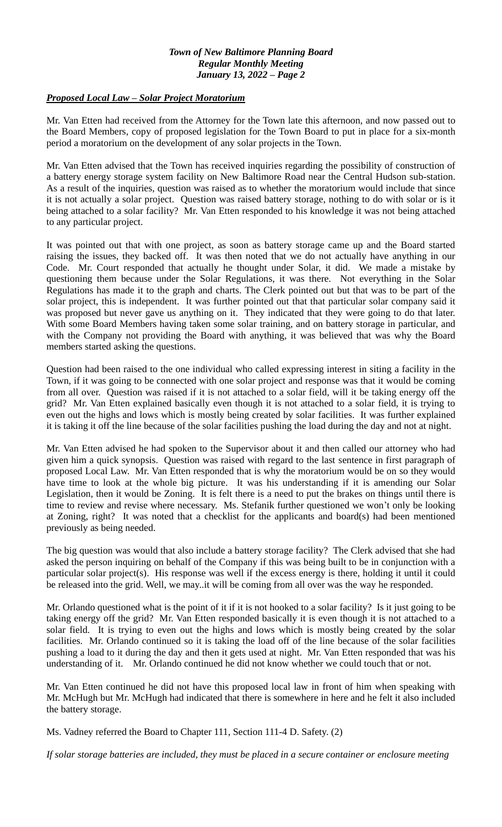# *Proposed Local Law – Solar Project Moratorium*

Mr. Van Etten had received from the Attorney for the Town late this afternoon, and now passed out to the Board Members, copy of proposed legislation for the Town Board to put in place for a six-month period a moratorium on the development of any solar projects in the Town.

Mr. Van Etten advised that the Town has received inquiries regarding the possibility of construction of a battery energy storage system facility on New Baltimore Road near the Central Hudson sub-station. As a result of the inquiries, question was raised as to whether the moratorium would include that since it is not actually a solar project. Question was raised battery storage, nothing to do with solar or is it being attached to a solar facility? Mr. Van Etten responded to his knowledge it was not being attached to any particular project.

It was pointed out that with one project, as soon as battery storage came up and the Board started raising the issues, they backed off. It was then noted that we do not actually have anything in our Code. Mr. Court responded that actually he thought under Solar, it did. We made a mistake by questioning them because under the Solar Regulations, it was there. Not everything in the Solar Regulations has made it to the graph and charts. The Clerk pointed out but that was to be part of the solar project, this is independent. It was further pointed out that that particular solar company said it was proposed but never gave us anything on it. They indicated that they were going to do that later. With some Board Members having taken some solar training, and on battery storage in particular, and with the Company not providing the Board with anything, it was believed that was why the Board members started asking the questions.

Question had been raised to the one individual who called expressing interest in siting a facility in the Town, if it was going to be connected with one solar project and response was that it would be coming from all over. Question was raised if it is not attached to a solar field, will it be taking energy off the grid? Mr. Van Etten explained basically even though it is not attached to a solar field, it is trying to even out the highs and lows which is mostly being created by solar facilities. It was further explained it is taking it off the line because of the solar facilities pushing the load during the day and not at night.

Mr. Van Etten advised he had spoken to the Supervisor about it and then called our attorney who had given him a quick synopsis. Question was raised with regard to the last sentence in first paragraph of proposed Local Law. Mr. Van Etten responded that is why the moratorium would be on so they would have time to look at the whole big picture. It was his understanding if it is amending our Solar Legislation, then it would be Zoning. It is felt there is a need to put the brakes on things until there is time to review and revise where necessary. Ms. Stefanik further questioned we won't only be looking at Zoning, right? It was noted that a checklist for the applicants and board(s) had been mentioned previously as being needed.

The big question was would that also include a battery storage facility? The Clerk advised that she had asked the person inquiring on behalf of the Company if this was being built to be in conjunction with a particular solar project(s). His response was well if the excess energy is there, holding it until it could be released into the grid. Well, we may..it will be coming from all over was the way he responded.

Mr. Orlando questioned what is the point of it if it is not hooked to a solar facility? Is it just going to be taking energy off the grid? Mr. Van Etten responded basically it is even though it is not attached to a solar field. It is trying to even out the highs and lows which is mostly being created by the solar facilities. Mr. Orlando continued so it is taking the load off of the line because of the solar facilities pushing a load to it during the day and then it gets used at night. Mr. Van Etten responded that was his understanding of it. Mr. Orlando continued he did not know whether we could touch that or not.

Mr. Van Etten continued he did not have this proposed local law in front of him when speaking with Mr. McHugh but Mr. McHugh had indicated that there is somewhere in here and he felt it also included the battery storage.

Ms. Vadney referred the Board to Chapter 111, Section 111-4 D. Safety. (2)

*If solar storage batteries are included, they must be placed in a secure container or enclosure meeting*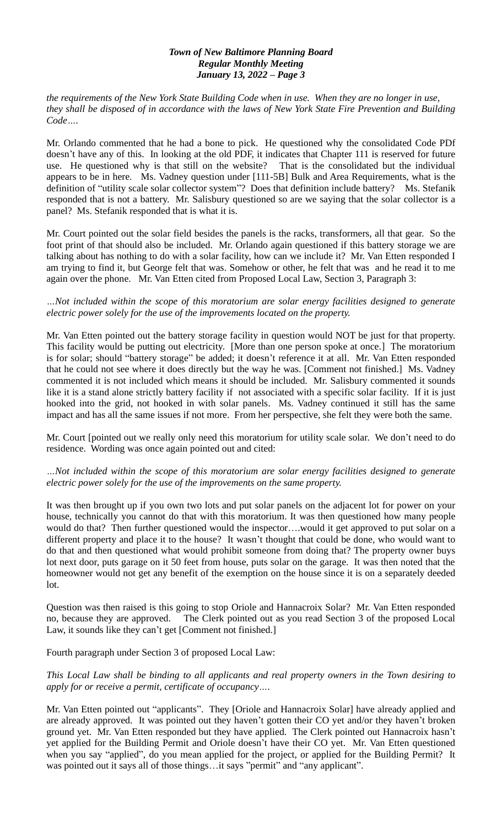*the requirements of the New York State Building Code when in use. When they are no longer in use, they shall be disposed of in accordance with the laws of New York State Fire Prevention and Building Code….*

Mr. Orlando commented that he had a bone to pick. He questioned why the consolidated Code PDf doesn't have any of this. In looking at the old PDF, it indicates that Chapter 111 is reserved for future use. He questioned why is that still on the website? That is the consolidated but the individual appears to be in here. Ms. Vadney question under [111-5B] Bulk and Area Requirements, what is the definition of "utility scale solar collector system"? Does that definition include battery? Ms. Stefanik responded that is not a battery. Mr. Salisbury questioned so are we saying that the solar collector is a panel? Ms. Stefanik responded that is what it is.

Mr. Court pointed out the solar field besides the panels is the racks, transformers, all that gear. So the foot print of that should also be included. Mr. Orlando again questioned if this battery storage we are talking about has nothing to do with a solar facility, how can we include it? Mr. Van Etten responded I am trying to find it, but George felt that was. Somehow or other, he felt that was and he read it to me again over the phone. Mr. Van Etten cited from Proposed Local Law, Section 3, Paragraph 3:

## *…Not included within the scope of this moratorium are solar energy facilities designed to generate electric power solely for the use of the improvements located on the property.*

Mr. Van Etten pointed out the battery storage facility in question would NOT be just for that property. This facility would be putting out electricity. [More than one person spoke at once.] The moratorium is for solar; should "battery storage" be added; it doesn't reference it at all. Mr. Van Etten responded that he could not see where it does directly but the way he was. [Comment not finished.] Ms. Vadney commented it is not included which means it should be included. Mr. Salisbury commented it sounds like it is a stand alone strictly battery facility if not associated with a specific solar facility. If it is just hooked into the grid, not hooked in with solar panels. Ms. Vadney continued it still has the same impact and has all the same issues if not more. From her perspective, she felt they were both the same.

Mr. Court [pointed out we really only need this moratorium for utility scale solar. We don't need to do residence. Wording was once again pointed out and cited:

## *…Not included within the scope of this moratorium are solar energy facilities designed to generate electric power solely for the use of the improvements on the same property.*

It was then brought up if you own two lots and put solar panels on the adjacent lot for power on your house, technically you cannot do that with this moratorium. It was then questioned how many people would do that? Then further questioned would the inspector….would it get approved to put solar on a different property and place it to the house? It wasn't thought that could be done, who would want to do that and then questioned what would prohibit someone from doing that? The property owner buys lot next door, puts garage on it 50 feet from house, puts solar on the garage. It was then noted that the homeowner would not get any benefit of the exemption on the house since it is on a separately deeded lot.

Question was then raised is this going to stop Oriole and Hannacroix Solar? Mr. Van Etten responded no, because they are approved. The Clerk pointed out as you read Section 3 of the proposed Local Law, it sounds like they can't get [Comment not finished.]

Fourth paragraph under Section 3 of proposed Local Law:

## *This Local Law shall be binding to all applicants and real property owners in the Town desiring to apply for or receive a permit, certificate of occupancy….*

Mr. Van Etten pointed out "applicants". They [Oriole and Hannacroix Solar] have already applied and are already approved. It was pointed out they haven't gotten their CO yet and/or they haven't broken ground yet. Mr. Van Etten responded but they have applied. The Clerk pointed out Hannacroix hasn't yet applied for the Building Permit and Oriole doesn't have their CO yet. Mr. Van Etten questioned when you say "applied", do you mean applied for the project, or applied for the Building Permit? It was pointed out it says all of those things...it says "permit" and "any applicant".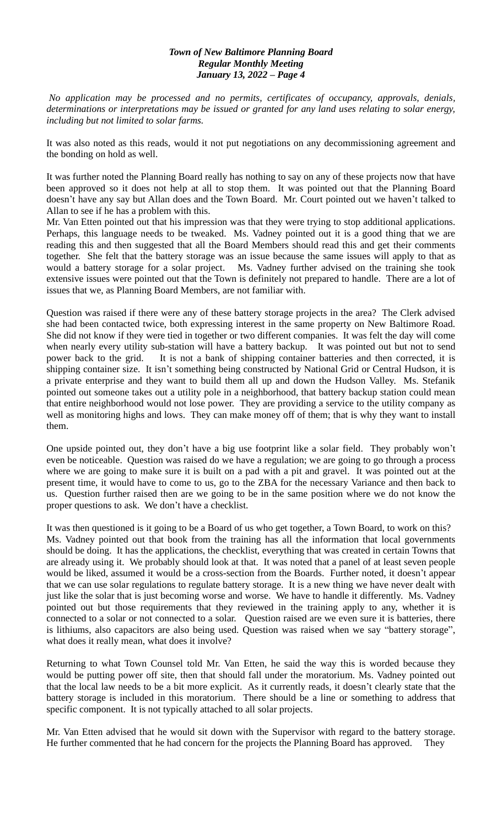*No application may be processed and no permits, certificates of occupancy, approvals, denials, determinations or interpretations may be issued or granted for any land uses relating to solar energy, including but not limited to solar farms.* 

It was also noted as this reads, would it not put negotiations on any decommissioning agreement and the bonding on hold as well.

It was further noted the Planning Board really has nothing to say on any of these projects now that have been approved so it does not help at all to stop them. It was pointed out that the Planning Board doesn't have any say but Allan does and the Town Board. Mr. Court pointed out we haven't talked to Allan to see if he has a problem with this.

Mr. Van Etten pointed out that his impression was that they were trying to stop additional applications. Perhaps, this language needs to be tweaked. Ms. Vadney pointed out it is a good thing that we are reading this and then suggested that all the Board Members should read this and get their comments together. She felt that the battery storage was an issue because the same issues will apply to that as would a battery storage for a solar project. Ms. Vadney further advised on the training she took extensive issues were pointed out that the Town is definitely not prepared to handle. There are a lot of issues that we, as Planning Board Members, are not familiar with.

Question was raised if there were any of these battery storage projects in the area? The Clerk advised she had been contacted twice, both expressing interest in the same property on New Baltimore Road. She did not know if they were tied in together or two different companies. It was felt the day will come when nearly every utility sub-station will have a battery backup. It was pointed out but not to send power back to the grid. It is not a bank of shipping container batteries and then corrected, it is shipping container size. It isn't something being constructed by National Grid or Central Hudson, it is a private enterprise and they want to build them all up and down the Hudson Valley. Ms. Stefanik pointed out someone takes out a utility pole in a neighborhood, that battery backup station could mean that entire neighborhood would not lose power. They are providing a service to the utility company as well as monitoring highs and lows. They can make money off of them; that is why they want to install them.

One upside pointed out, they don't have a big use footprint like a solar field. They probably won't even be noticeable. Question was raised do we have a regulation; we are going to go through a process where we are going to make sure it is built on a pad with a pit and gravel. It was pointed out at the present time, it would have to come to us, go to the ZBA for the necessary Variance and then back to us. Question further raised then are we going to be in the same position where we do not know the proper questions to ask. We don't have a checklist.

It was then questioned is it going to be a Board of us who get together, a Town Board, to work on this? Ms. Vadney pointed out that book from the training has all the information that local governments should be doing. It has the applications, the checklist, everything that was created in certain Towns that are already using it. We probably should look at that. It was noted that a panel of at least seven people would be liked, assumed it would be a cross-section from the Boards. Further noted, it doesn't appear that we can use solar regulations to regulate battery storage. It is a new thing we have never dealt with just like the solar that is just becoming worse and worse. We have to handle it differently. Ms. Vadney pointed out but those requirements that they reviewed in the training apply to any, whether it is connected to a solar or not connected to a solar. Question raised are we even sure it is batteries, there is lithiums, also capacitors are also being used. Question was raised when we say "battery storage", what does it really mean, what does it involve?

Returning to what Town Counsel told Mr. Van Etten, he said the way this is worded because they would be putting power off site, then that should fall under the moratorium. Ms. Vadney pointed out that the local law needs to be a bit more explicit. As it currently reads, it doesn't clearly state that the battery storage is included in this moratorium. There should be a line or something to address that specific component. It is not typically attached to all solar projects.

Mr. Van Etten advised that he would sit down with the Supervisor with regard to the battery storage. He further commented that he had concern for the projects the Planning Board has approved. They